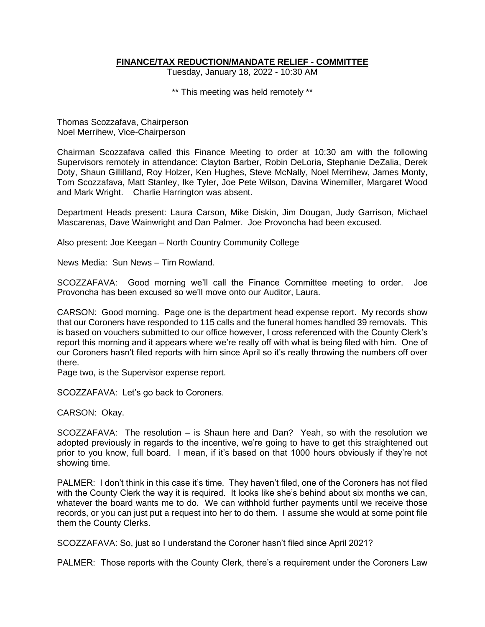### **FINANCE/TAX REDUCTION/MANDATE RELIEF - COMMITTEE**

Tuesday, January 18, 2022 - 10:30 AM

\*\* This meeting was held remotely \*\*

Thomas Scozzafava, Chairperson Noel Merrihew, Vice-Chairperson

Chairman Scozzafava called this Finance Meeting to order at 10:30 am with the following Supervisors remotely in attendance: Clayton Barber, Robin DeLoria, Stephanie DeZalia, Derek Doty, Shaun Gillilland, Roy Holzer, Ken Hughes, Steve McNally, Noel Merrihew, James Monty, Tom Scozzafava, Matt Stanley, Ike Tyler, Joe Pete Wilson, Davina Winemiller, Margaret Wood and Mark Wright. Charlie Harrington was absent.

Department Heads present: Laura Carson, Mike Diskin, Jim Dougan, Judy Garrison, Michael Mascarenas, Dave Wainwright and Dan Palmer. Joe Provoncha had been excused.

Also present: Joe Keegan – North Country Community College

News Media: Sun News – Tim Rowland.

SCOZZAFAVA: Good morning we'll call the Finance Committee meeting to order. Joe Provoncha has been excused so we'll move onto our Auditor, Laura.

CARSON: Good morning. Page one is the department head expense report. My records show that our Coroners have responded to 115 calls and the funeral homes handled 39 removals. This is based on vouchers submitted to our office however, I cross referenced with the County Clerk's report this morning and it appears where we're really off with what is being filed with him. One of our Coroners hasn't filed reports with him since April so it's really throwing the numbers off over there.

Page two, is the Supervisor expense report.

SCOZZAFAVA: Let's go back to Coroners.

CARSON: Okay.

SCOZZAFAVA: The resolution – is Shaun here and Dan? Yeah, so with the resolution we adopted previously in regards to the incentive, we're going to have to get this straightened out prior to you know, full board. I mean, if it's based on that 1000 hours obviously if they're not showing time.

PALMER: I don't think in this case it's time. They haven't filed, one of the Coroners has not filed with the County Clerk the way it is required. It looks like she's behind about six months we can, whatever the board wants me to do. We can withhold further payments until we receive those records, or you can just put a request into her to do them. I assume she would at some point file them the County Clerks.

SCOZZAFAVA: So, just so I understand the Coroner hasn't filed since April 2021?

PALMER: Those reports with the County Clerk, there's a requirement under the Coroners Law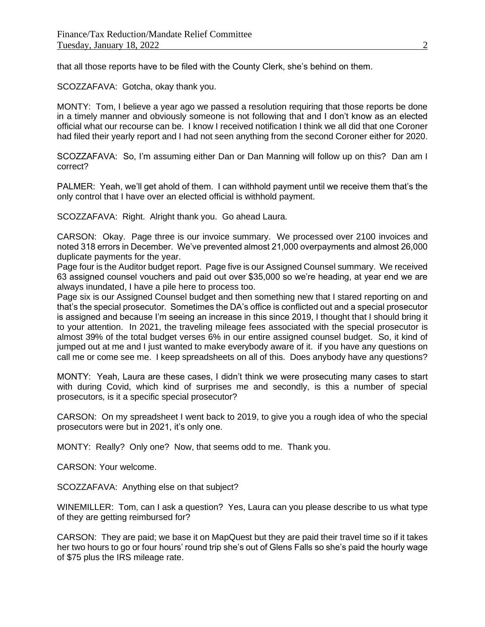that all those reports have to be filed with the County Clerk, she's behind on them.

SCOZZAFAVA: Gotcha, okay thank you.

MONTY: Tom, I believe a year ago we passed a resolution requiring that those reports be done in a timely manner and obviously someone is not following that and I don't know as an elected official what our recourse can be. I know I received notification I think we all did that one Coroner had filed their yearly report and I had not seen anything from the second Coroner either for 2020.

SCOZZAFAVA: So, I'm assuming either Dan or Dan Manning will follow up on this? Dan am I correct?

PALMER: Yeah, we'll get ahold of them. I can withhold payment until we receive them that's the only control that I have over an elected official is withhold payment.

SCOZZAFAVA: Right. Alright thank you. Go ahead Laura.

CARSON: Okay. Page three is our invoice summary. We processed over 2100 invoices and noted 318 errors in December. We've prevented almost 21,000 overpayments and almost 26,000 duplicate payments for the year.

Page four is the Auditor budget report. Page five is our Assigned Counsel summary. We received 63 assigned counsel vouchers and paid out over \$35,000 so we're heading, at year end we are always inundated, I have a pile here to process too.

Page six is our Assigned Counsel budget and then something new that I stared reporting on and that's the special prosecutor. Sometimes the DA's office is conflicted out and a special prosecutor is assigned and because I'm seeing an increase in this since 2019, I thought that I should bring it to your attention. In 2021, the traveling mileage fees associated with the special prosecutor is almost 39% of the total budget verses 6% in our entire assigned counsel budget. So, it kind of jumped out at me and I just wanted to make everybody aware of it. if you have any questions on call me or come see me. I keep spreadsheets on all of this. Does anybody have any questions?

MONTY: Yeah, Laura are these cases, I didn't think we were prosecuting many cases to start with during Covid, which kind of surprises me and secondly, is this a number of special prosecutors, is it a specific special prosecutor?

CARSON: On my spreadsheet I went back to 2019, to give you a rough idea of who the special prosecutors were but in 2021, it's only one.

MONTY: Really? Only one? Now, that seems odd to me. Thank you.

CARSON: Your welcome.

SCOZZAFAVA: Anything else on that subject?

WINEMILLER: Tom, can I ask a question? Yes, Laura can you please describe to us what type of they are getting reimbursed for?

CARSON: They are paid; we base it on MapQuest but they are paid their travel time so if it takes her two hours to go or four hours' round trip she's out of Glens Falls so she's paid the hourly wage of \$75 plus the IRS mileage rate.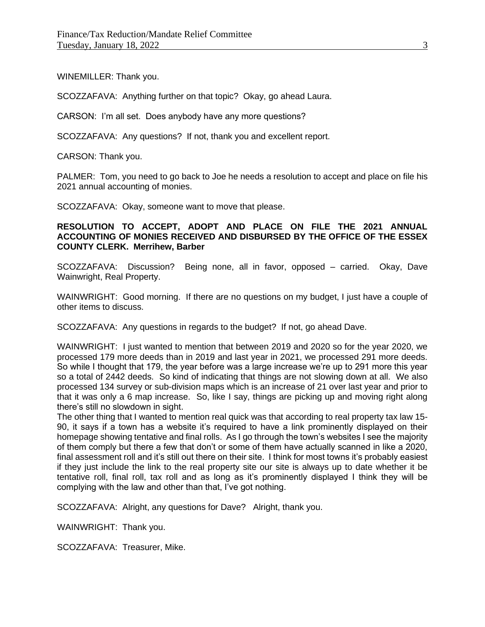WINEMILLER: Thank you.

SCOZZAFAVA: Anything further on that topic? Okay, go ahead Laura.

CARSON: I'm all set. Does anybody have any more questions?

SCOZZAFAVA: Any questions? If not, thank you and excellent report.

CARSON: Thank you.

PALMER: Tom, you need to go back to Joe he needs a resolution to accept and place on file his 2021 annual accounting of monies.

SCOZZAFAVA: Okay, someone want to move that please.

# **RESOLUTION TO ACCEPT, ADOPT AND PLACE ON FILE THE 2021 ANNUAL ACCOUNTING OF MONIES RECEIVED AND DISBURSED BY THE OFFICE OF THE ESSEX COUNTY CLERK. Merrihew, Barber**

SCOZZAFAVA: Discussion? Being none, all in favor, opposed – carried. Okay, Dave Wainwright, Real Property.

WAINWRIGHT: Good morning. If there are no questions on my budget, I just have a couple of other items to discuss.

SCOZZAFAVA: Any questions in regards to the budget? If not, go ahead Dave.

WAINWRIGHT: I just wanted to mention that between 2019 and 2020 so for the year 2020, we processed 179 more deeds than in 2019 and last year in 2021, we processed 291 more deeds. So while I thought that 179, the year before was a large increase we're up to 291 more this year so a total of 2442 deeds. So kind of indicating that things are not slowing down at all. We also processed 134 survey or sub-division maps which is an increase of 21 over last year and prior to that it was only a 6 map increase. So, like I say, things are picking up and moving right along there's still no slowdown in sight.

The other thing that I wanted to mention real quick was that according to real property tax law 15- 90, it says if a town has a website it's required to have a link prominently displayed on their homepage showing tentative and final rolls. As I go through the town's websites I see the majority of them comply but there a few that don't or some of them have actually scanned in like a 2020, final assessment roll and it's still out there on their site. I think for most towns it's probably easiest if they just include the link to the real property site our site is always up to date whether it be tentative roll, final roll, tax roll and as long as it's prominently displayed I think they will be complying with the law and other than that, I've got nothing.

SCOZZAFAVA: Alright, any questions for Dave? Alright, thank you.

WAINWRIGHT: Thank you.

SCOZZAFAVA: Treasurer, Mike.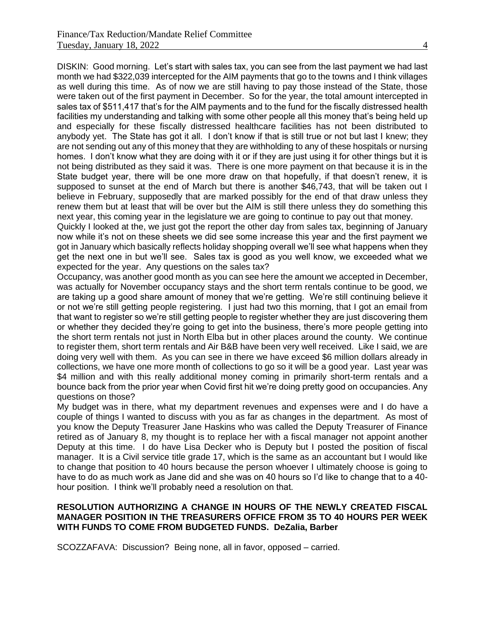DISKIN: Good morning. Let's start with sales tax, you can see from the last payment we had last month we had \$322,039 intercepted for the AIM payments that go to the towns and I think villages as well during this time. As of now we are still having to pay those instead of the State, those were taken out of the first payment in December. So for the year, the total amount intercepted in sales tax of \$511,417 that's for the AIM payments and to the fund for the fiscally distressed health facilities my understanding and talking with some other people all this money that's being held up and especially for these fiscally distressed healthcare facilities has not been distributed to anybody yet. The State has got it all. I don't know if that is still true or not but last I knew; they are not sending out any of this money that they are withholding to any of these hospitals or nursing homes. I don't know what they are doing with it or if they are just using it for other things but it is not being distributed as they said it was. There is one more payment on that because it is in the State budget year, there will be one more draw on that hopefully, if that doesn't renew, it is supposed to sunset at the end of March but there is another \$46,743, that will be taken out I believe in February, supposedly that are marked possibly for the end of that draw unless they renew them but at least that will be over but the AIM is still there unless they do something this next year, this coming year in the legislature we are going to continue to pay out that money.

Quickly I looked at the, we just got the report the other day from sales tax, beginning of January now while it's not on these sheets we did see some increase this year and the first payment we got in January which basically reflects holiday shopping overall we'll see what happens when they get the next one in but we'll see. Sales tax is good as you well know, we exceeded what we expected for the year. Any questions on the sales tax?

Occupancy, was another good month as you can see here the amount we accepted in December, was actually for November occupancy stays and the short term rentals continue to be good, we are taking up a good share amount of money that we're getting. We're still continuing believe it or not we're still getting people registering. I just had two this morning, that I got an email from that want to register so we're still getting people to register whether they are just discovering them or whether they decided they're going to get into the business, there's more people getting into the short term rentals not just in North Elba but in other places around the county. We continue to register them, short term rentals and Air B&B have been very well received. Like I said, we are doing very well with them. As you can see in there we have exceed \$6 million dollars already in collections, we have one more month of collections to go so it will be a good year. Last year was \$4 million and with this really additional money coming in primarily short-term rentals and a bounce back from the prior year when Covid first hit we're doing pretty good on occupancies. Any questions on those?

My budget was in there, what my department revenues and expenses were and I do have a couple of things I wanted to discuss with you as far as changes in the department. As most of you know the Deputy Treasurer Jane Haskins who was called the Deputy Treasurer of Finance retired as of January 8, my thought is to replace her with a fiscal manager not appoint another Deputy at this time. I do have Lisa Decker who is Deputy but I posted the position of fiscal manager. It is a Civil service title grade 17, which is the same as an accountant but I would like to change that position to 40 hours because the person whoever I ultimately choose is going to have to do as much work as Jane did and she was on 40 hours so I'd like to change that to a 40 hour position. I think we'll probably need a resolution on that.

# **RESOLUTION AUTHORIZING A CHANGE IN HOURS OF THE NEWLY CREATED FISCAL MANAGER POSITION IN THE TREASURERS OFFICE FROM 35 TO 40 HOURS PER WEEK WITH FUNDS TO COME FROM BUDGETED FUNDS. DeZalia, Barber**

SCOZZAFAVA: Discussion? Being none, all in favor, opposed – carried.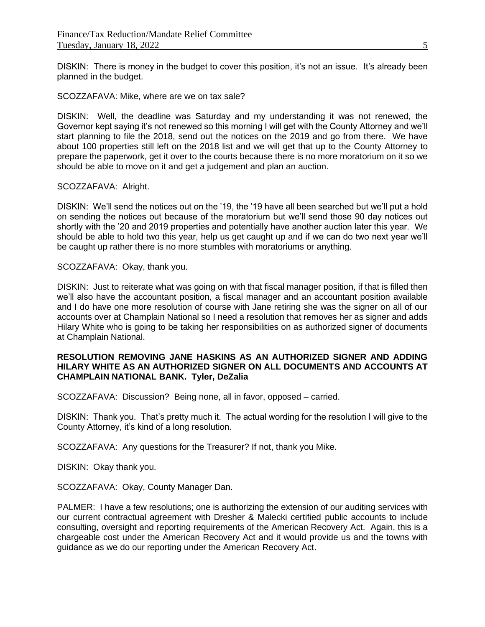DISKIN: There is money in the budget to cover this position, it's not an issue. It's already been planned in the budget.

SCOZZAFAVA: Mike, where are we on tax sale?

DISKIN: Well, the deadline was Saturday and my understanding it was not renewed, the Governor kept saying it's not renewed so this morning I will get with the County Attorney and we'll start planning to file the 2018, send out the notices on the 2019 and go from there. We have about 100 properties still left on the 2018 list and we will get that up to the County Attorney to prepare the paperwork, get it over to the courts because there is no more moratorium on it so we should be able to move on it and get a judgement and plan an auction.

#### SCOZZAFAVA: Alright.

DISKIN: We'll send the notices out on the '19, the '19 have all been searched but we'll put a hold on sending the notices out because of the moratorium but we'll send those 90 day notices out shortly with the '20 and 2019 properties and potentially have another auction later this year. We should be able to hold two this year, help us get caught up and if we can do two next year we'll be caught up rather there is no more stumbles with moratoriums or anything.

SCOZZAFAVA: Okay, thank you.

DISKIN: Just to reiterate what was going on with that fiscal manager position, if that is filled then we'll also have the accountant position, a fiscal manager and an accountant position available and I do have one more resolution of course with Jane retiring she was the signer on all of our accounts over at Champlain National so I need a resolution that removes her as signer and adds Hilary White who is going to be taking her responsibilities on as authorized signer of documents at Champlain National.

### **RESOLUTION REMOVING JANE HASKINS AS AN AUTHORIZED SIGNER AND ADDING HILARY WHITE AS AN AUTHORIZED SIGNER ON ALL DOCUMENTS AND ACCOUNTS AT CHAMPLAIN NATIONAL BANK. Tyler, DeZalia**

SCOZZAFAVA: Discussion? Being none, all in favor, opposed – carried.

DISKIN: Thank you. That's pretty much it. The actual wording for the resolution I will give to the County Attorney, it's kind of a long resolution.

SCOZZAFAVA: Any questions for the Treasurer? If not, thank you Mike.

DISKIN: Okay thank you.

SCOZZAFAVA: Okay, County Manager Dan.

PALMER: I have a few resolutions; one is authorizing the extension of our auditing services with our current contractual agreement with Dresher & Malecki certified public accounts to include consulting, oversight and reporting requirements of the American Recovery Act. Again, this is a chargeable cost under the American Recovery Act and it would provide us and the towns with guidance as we do our reporting under the American Recovery Act.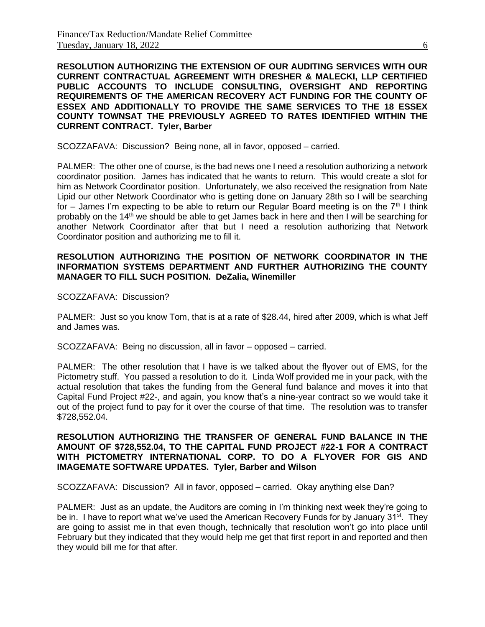**RESOLUTION AUTHORIZING THE EXTENSION OF OUR AUDITING SERVICES WITH OUR CURRENT CONTRACTUAL AGREEMENT WITH DRESHER & MALECKI, LLP CERTIFIED PUBLIC ACCOUNTS TO INCLUDE CONSULTING, OVERSIGHT AND REPORTING REQUIREMENTS OF THE AMERICAN RECOVERY ACT FUNDING FOR THE COUNTY OF ESSEX AND ADDITIONALLY TO PROVIDE THE SAME SERVICES TO THE 18 ESSEX COUNTY TOWNSAT THE PREVIOUSLY AGREED TO RATES IDENTIFIED WITHIN THE CURRENT CONTRACT. Tyler, Barber**

SCOZZAFAVA: Discussion? Being none, all in favor, opposed – carried.

PALMER: The other one of course, is the bad news one I need a resolution authorizing a network coordinator position. James has indicated that he wants to return. This would create a slot for him as Network Coordinator position. Unfortunately, we also received the resignation from Nate Lipid our other Network Coordinator who is getting done on January 28th so I will be searching for – James I'm expecting to be able to return our Regular Board meeting is on the  $7<sup>th</sup>$  I think probably on the 14th we should be able to get James back in here and then I will be searching for another Network Coordinator after that but I need a resolution authorizing that Network Coordinator position and authorizing me to fill it.

### **RESOLUTION AUTHORIZING THE POSITION OF NETWORK COORDINATOR IN THE INFORMATION SYSTEMS DEPARTMENT AND FURTHER AUTHORIZING THE COUNTY MANAGER TO FILL SUCH POSITION. DeZalia, Winemiller**

SCOZZAFAVA: Discussion?

PALMER: Just so you know Tom, that is at a rate of \$28.44, hired after 2009, which is what Jeff and James was.

SCOZZAFAVA: Being no discussion, all in favor – opposed – carried.

PALMER: The other resolution that I have is we talked about the flyover out of EMS, for the Pictometry stuff. You passed a resolution to do it. Linda Wolf provided me in your pack, with the actual resolution that takes the funding from the General fund balance and moves it into that Capital Fund Project #22-, and again, you know that's a nine-year contract so we would take it out of the project fund to pay for it over the course of that time. The resolution was to transfer \$728,552.04.

# **RESOLUTION AUTHORIZING THE TRANSFER OF GENERAL FUND BALANCE IN THE AMOUNT OF \$728,552.04, TO THE CAPITAL FUND PROJECT #22-1 FOR A CONTRACT WITH PICTOMETRY INTERNATIONAL CORP. TO DO A FLYOVER FOR GIS AND IMAGEMATE SOFTWARE UPDATES. Tyler, Barber and Wilson**

SCOZZAFAVA: Discussion? All in favor, opposed – carried. Okay anything else Dan?

PALMER: Just as an update, the Auditors are coming in I'm thinking next week they're going to be in. I have to report what we've used the American Recovery Funds for by January 31<sup>st</sup>. They are going to assist me in that even though, technically that resolution won't go into place until February but they indicated that they would help me get that first report in and reported and then they would bill me for that after.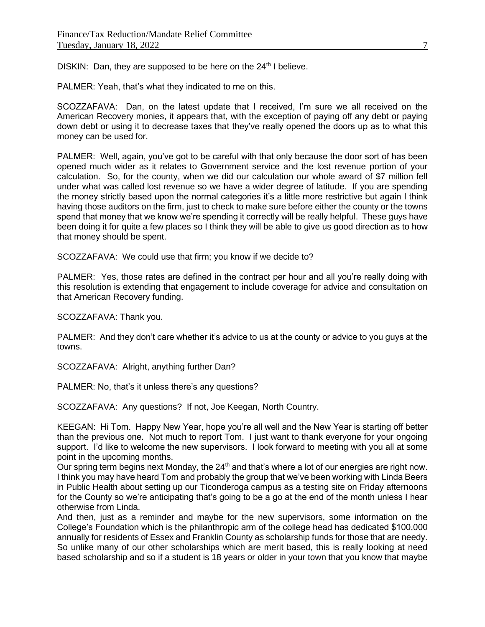DISKIN: Dan, they are supposed to be here on the  $24<sup>th</sup>$  I believe.

PALMER: Yeah, that's what they indicated to me on this.

SCOZZAFAVA: Dan, on the latest update that I received, I'm sure we all received on the American Recovery monies, it appears that, with the exception of paying off any debt or paying down debt or using it to decrease taxes that they've really opened the doors up as to what this money can be used for.

PALMER: Well, again, you've got to be careful with that only because the door sort of has been opened much wider as it relates to Government service and the lost revenue portion of your calculation. So, for the county, when we did our calculation our whole award of \$7 million fell under what was called lost revenue so we have a wider degree of latitude. If you are spending the money strictly based upon the normal categories it's a little more restrictive but again I think having those auditors on the firm, just to check to make sure before either the county or the towns spend that money that we know we're spending it correctly will be really helpful. These guys have been doing it for quite a few places so I think they will be able to give us good direction as to how that money should be spent.

SCOZZAFAVA: We could use that firm; you know if we decide to?

PALMER: Yes, those rates are defined in the contract per hour and all you're really doing with this resolution is extending that engagement to include coverage for advice and consultation on that American Recovery funding.

SCOZZAFAVA: Thank you.

PALMER: And they don't care whether it's advice to us at the county or advice to you guys at the towns.

SCOZZAFAVA: Alright, anything further Dan?

PALMER: No, that's it unless there's any questions?

SCOZZAFAVA: Any questions? If not, Joe Keegan, North Country.

KEEGAN: Hi Tom. Happy New Year, hope you're all well and the New Year is starting off better than the previous one. Not much to report Tom. I just want to thank everyone for your ongoing support. I'd like to welcome the new supervisors. I look forward to meeting with you all at some point in the upcoming months.

Our spring term begins next Monday, the 24<sup>th</sup> and that's where a lot of our energies are right now. I think you may have heard Tom and probably the group that we've been working with Linda Beers in Public Health about setting up our Ticonderoga campus as a testing site on Friday afternoons for the County so we're anticipating that's going to be a go at the end of the month unless I hear otherwise from Linda.

And then, just as a reminder and maybe for the new supervisors, some information on the College's Foundation which is the philanthropic arm of the college head has dedicated \$100,000 annually for residents of Essex and Franklin County as scholarship funds for those that are needy. So unlike many of our other scholarships which are merit based, this is really looking at need based scholarship and so if a student is 18 years or older in your town that you know that maybe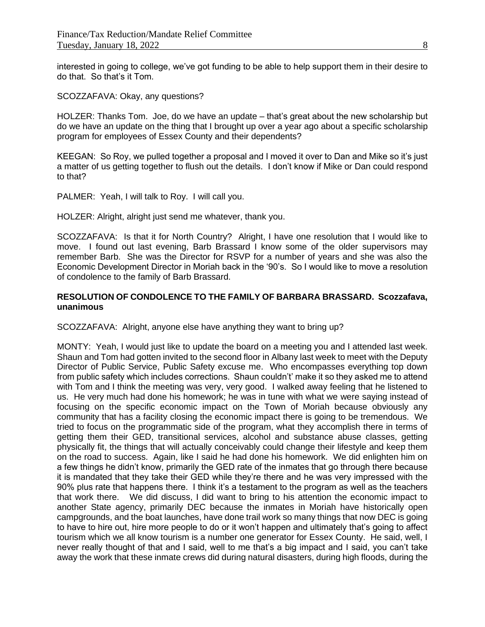interested in going to college, we've got funding to be able to help support them in their desire to do that. So that's it Tom.

SCOZZAFAVA: Okay, any questions?

HOLZER: Thanks Tom. Joe, do we have an update – that's great about the new scholarship but do we have an update on the thing that I brought up over a year ago about a specific scholarship program for employees of Essex County and their dependents?

KEEGAN: So Roy, we pulled together a proposal and I moved it over to Dan and Mike so it's just a matter of us getting together to flush out the details. I don't know if Mike or Dan could respond to that?

PALMER: Yeah, I will talk to Roy. I will call you.

HOLZER: Alright, alright just send me whatever, thank you.

SCOZZAFAVA: Is that it for North Country? Alright, I have one resolution that I would like to move. I found out last evening, Barb Brassard I know some of the older supervisors may remember Barb. She was the Director for RSVP for a number of years and she was also the Economic Development Director in Moriah back in the '90's. So I would like to move a resolution of condolence to the family of Barb Brassard.

## **RESOLUTION OF CONDOLENCE TO THE FAMILY OF BARBARA BRASSARD. Scozzafava, unanimous**

SCOZZAFAVA: Alright, anyone else have anything they want to bring up?

MONTY: Yeah, I would just like to update the board on a meeting you and I attended last week. Shaun and Tom had gotten invited to the second floor in Albany last week to meet with the Deputy Director of Public Service, Public Safety excuse me. Who encompasses everything top down from public safety which includes corrections. Shaun couldn't' make it so they asked me to attend with Tom and I think the meeting was very, very good. I walked away feeling that he listened to us. He very much had done his homework; he was in tune with what we were saying instead of focusing on the specific economic impact on the Town of Moriah because obviously any community that has a facility closing the economic impact there is going to be tremendous. We tried to focus on the programmatic side of the program, what they accomplish there in terms of getting them their GED, transitional services, alcohol and substance abuse classes, getting physically fit, the things that will actually conceivably could change their lifestyle and keep them on the road to success. Again, like I said he had done his homework. We did enlighten him on a few things he didn't know, primarily the GED rate of the inmates that go through there because it is mandated that they take their GED while they're there and he was very impressed with the 90% plus rate that happens there. I think it's a testament to the program as well as the teachers that work there. We did discuss, I did want to bring to his attention the economic impact to another State agency, primarily DEC because the inmates in Moriah have historically open campgrounds, and the boat launches, have done trail work so many things that now DEC is going to have to hire out, hire more people to do or it won't happen and ultimately that's going to affect tourism which we all know tourism is a number one generator for Essex County. He said, well, I never really thought of that and I said, well to me that's a big impact and I said, you can't take away the work that these inmate crews did during natural disasters, during high floods, during the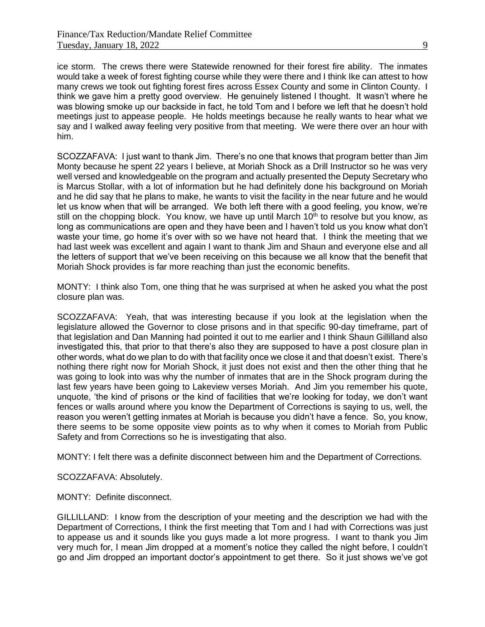ice storm. The crews there were Statewide renowned for their forest fire ability. The inmates would take a week of forest fighting course while they were there and I think Ike can attest to how many crews we took out fighting forest fires across Essex County and some in Clinton County. I think we gave him a pretty good overview. He genuinely listened I thought. It wasn't where he was blowing smoke up our backside in fact, he told Tom and I before we left that he doesn't hold meetings just to appease people. He holds meetings because he really wants to hear what we say and I walked away feeling very positive from that meeting. We were there over an hour with him.

SCOZZAFAVA: I just want to thank Jim. There's no one that knows that program better than Jim Monty because he spent 22 years I believe, at Moriah Shock as a Drill Instructor so he was very well versed and knowledgeable on the program and actually presented the Deputy Secretary who is Marcus Stollar, with a lot of information but he had definitely done his background on Moriah and he did say that he plans to make, he wants to visit the facility in the near future and he would let us know when that will be arranged. We both left there with a good feeling, you know, we're still on the chopping block. You know, we have up until March  $10<sup>th</sup>$  to resolve but you know, as long as communications are open and they have been and I haven't told us you know what don't waste your time, go home it's over with so we have not heard that. I think the meeting that we had last week was excellent and again I want to thank Jim and Shaun and everyone else and all the letters of support that we've been receiving on this because we all know that the benefit that Moriah Shock provides is far more reaching than just the economic benefits.

MONTY: I think also Tom, one thing that he was surprised at when he asked you what the post closure plan was.

SCOZZAFAVA: Yeah, that was interesting because if you look at the legislation when the legislature allowed the Governor to close prisons and in that specific 90-day timeframe, part of that legislation and Dan Manning had pointed it out to me earlier and I think Shaun Gillilland also investigated this, that prior to that there's also they are supposed to have a post closure plan in other words, what do we plan to do with that facility once we close it and that doesn't exist. There's nothing there right now for Moriah Shock, it just does not exist and then the other thing that he was going to look into was why the number of inmates that are in the Shock program during the last few years have been going to Lakeview verses Moriah. And Jim you remember his quote, unquote, 'the kind of prisons or the kind of facilities that we're looking for today, we don't want fences or walls around where you know the Department of Corrections is saying to us, well, the reason you weren't getting inmates at Moriah is because you didn't have a fence. So, you know, there seems to be some opposite view points as to why when it comes to Moriah from Public Safety and from Corrections so he is investigating that also.

MONTY: I felt there was a definite disconnect between him and the Department of Corrections.

SCOZZAFAVA: Absolutely.

MONTY: Definite disconnect.

GILLILLAND: I know from the description of your meeting and the description we had with the Department of Corrections, I think the first meeting that Tom and I had with Corrections was just to appease us and it sounds like you guys made a lot more progress. I want to thank you Jim very much for, I mean Jim dropped at a moment's notice they called the night before, I couldn't go and Jim dropped an important doctor's appointment to get there. So it just shows we've got